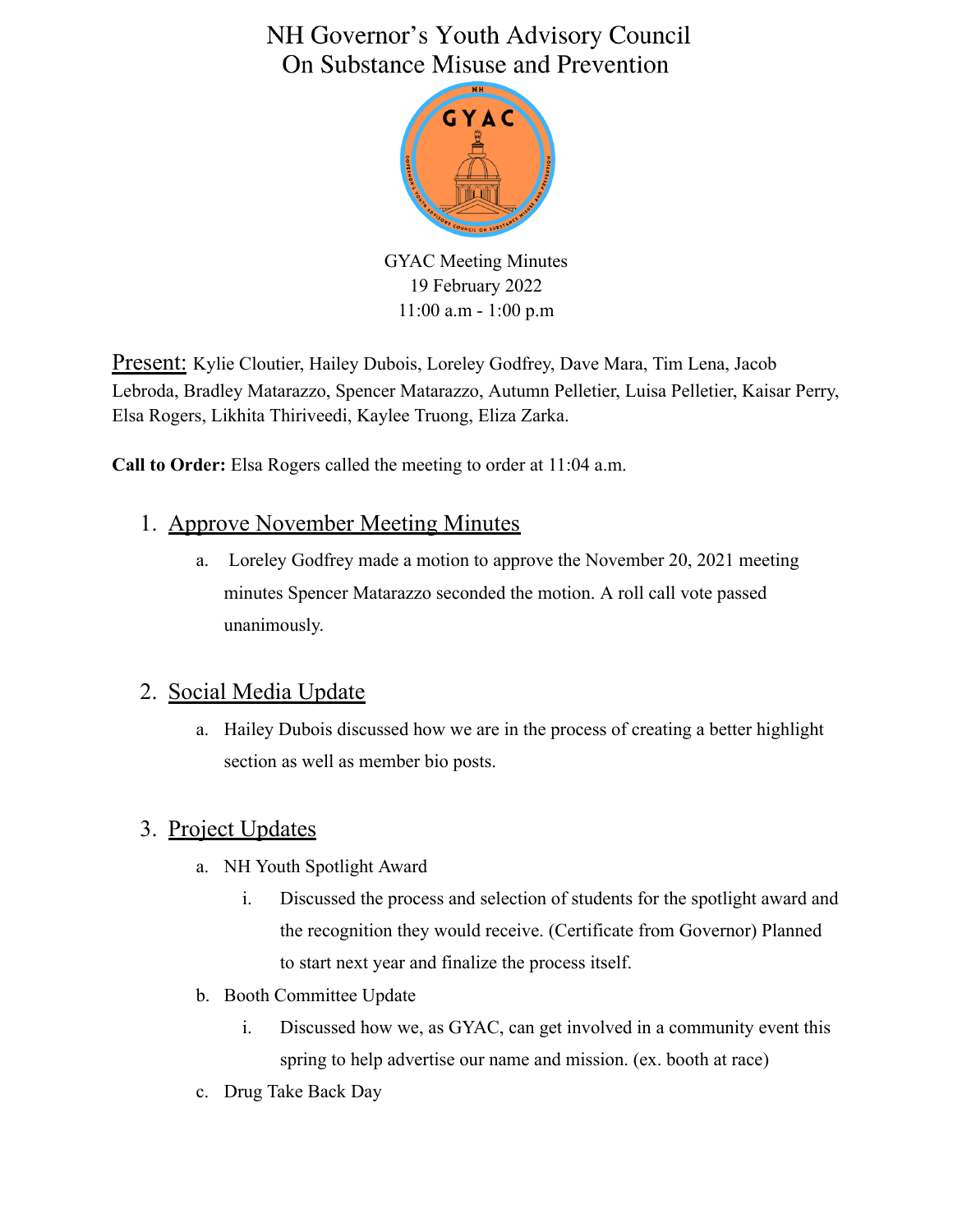# NH Governor's Youth Advisory Council On Substance Misuse and Prevention



GYAC Meeting Minutes 19 February 2022 11:00 a.m - 1:00 p.m

Present: Kylie Cloutier, Hailey Dubois, Loreley Godfrey, Dave Mara, Tim Lena, Jacob Lebroda, Bradley Matarazzo, Spencer Matarazzo, Autumn Pelletier, Luisa Pelletier, Kaisar Perry, Elsa Rogers, Likhita Thiriveedi, Kaylee Truong, Eliza Zarka.

**Call to Order:** Elsa Rogers called the meeting to order at 11:04 a.m.

#### 1. Approve November Meeting Minutes

a. Loreley Godfrey made a motion to approve the November 20, 2021 meeting minutes Spencer Matarazzo seconded the motion. A roll call vote passed unanimously.

#### 2. Social Media Update

a. Hailey Dubois discussed how we are in the process of creating a better highlight section as well as member bio posts.

## 3. Project Updates

- a. NH Youth Spotlight Award
	- i. Discussed the process and selection of students for the spotlight award and the recognition they would receive. (Certificate from Governor) Planned to start next year and finalize the process itself.
- b. Booth Committee Update
	- i. Discussed how we, as GYAC, can get involved in a community event this spring to help advertise our name and mission. (ex. booth at race)
- c. Drug Take Back Day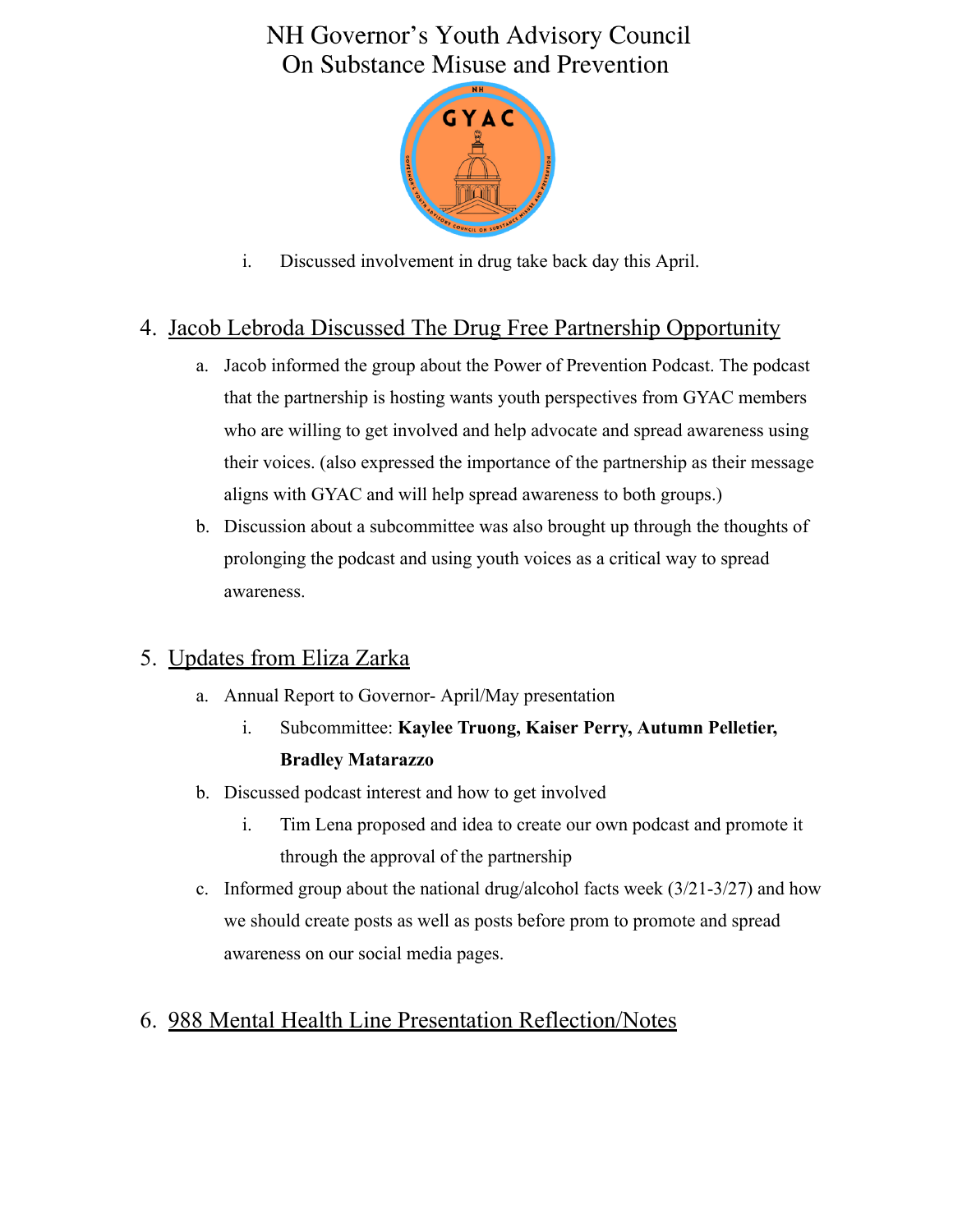# NH Governor's Youth Advisory Council On Substance Misuse and Prevention



i. Discussed involvement in drug take back day this April.

### 4. Jacob Lebroda Discussed The Drug Free Partnership Opportunity

- a. Jacob informed the group about the Power of Prevention Podcast. The podcast that the partnership is hosting wants youth perspectives from GYAC members who are willing to get involved and help advocate and spread awareness using their voices. (also expressed the importance of the partnership as their message aligns with GYAC and will help spread awareness to both groups.)
- b. Discussion about a subcommittee was also brought up through the thoughts of prolonging the podcast and using youth voices as a critical way to spread awareness.

#### 5. Updates from Eliza Zarka

- a. Annual Report to Governor- April/May presentation
	- i. Subcommittee: **Kaylee Truong, Kaiser Perry, Autumn Pelletier, Bradley Matarazzo**
- b. Discussed podcast interest and how to get involved
	- i. Tim Lena proposed and idea to create our own podcast and promote it through the approval of the partnership
- c. Informed group about the national drug/alcohol facts week (3/21-3/27) and how we should create posts as well as posts before prom to promote and spread awareness on our social media pages.

## 6. 988 Mental Health Line Presentation Reflection/Notes